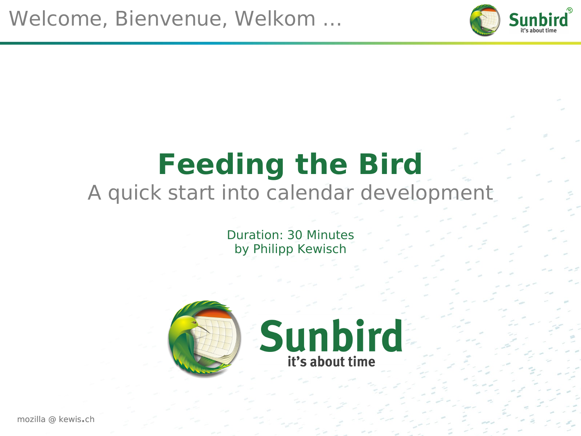

### **Feeding the Bird** A quick start into calendar development

Duration: 30 Minutes by Philipp Kewisch

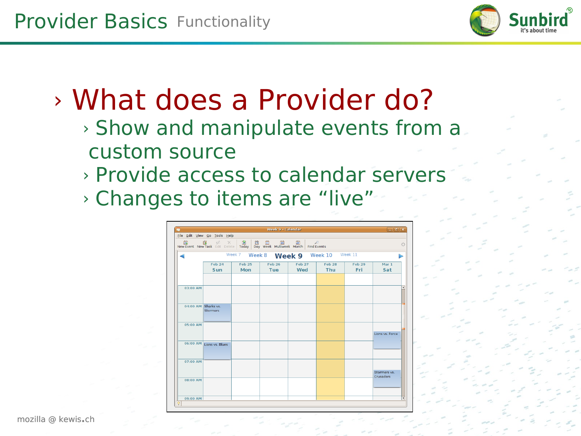

### › What does a Provider do?

- › Show and manipulate events from a custom source
- › Provide access to calendar servers › Changes to items are "live"

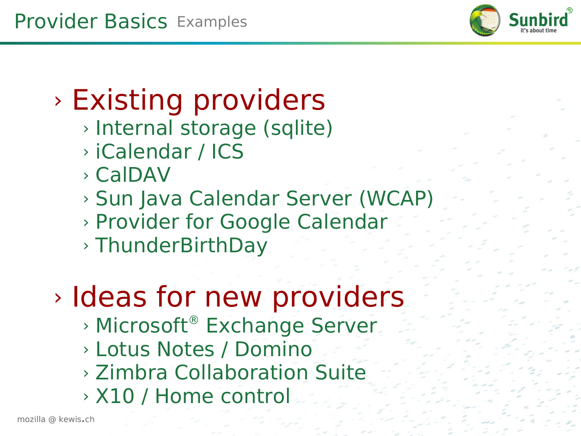

### › Existing providers

- › Internal storage (sqlite)
- › iCalendar / ICS
- › CalDAV
- › Sun Java Calendar Server (WCAP)
- › Provider for Google Calendar
- › ThunderBirthDay

# › Ideas for new providers

- › Microsoft® Exchange Server
- › Lotus Notes / Domino
- › Zimbra Collaboration Suite
- › X10 / Home control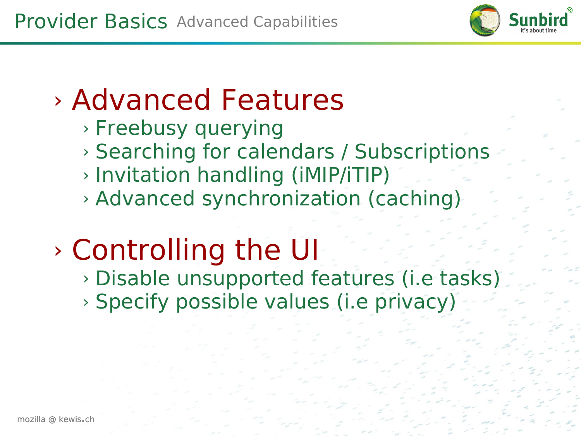

### › Advanced Features

- › Freebusy querying
- › Searching for calendars / Subscriptions
- › Invitation handling (iMIP/iTIP)
- › Advanced synchronization (caching)

### › Controlling the UI

› Disable unsupported features (i.e tasks)

› Specify possible values (i.e privacy)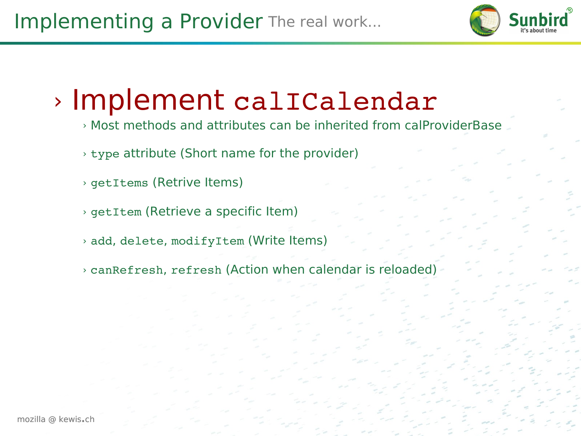

#### › Implement calICalendar

- › Most methods and attributes can be inherited from calProviderBase
- › type attribute (Short name for the provider)
- › getItems (Retrive Items)
- › getItem (Retrieve a specific Item)
- › add, delete, modifyItem (Write Items)
- › canRefresh, refresh (Action when calendar is reloaded)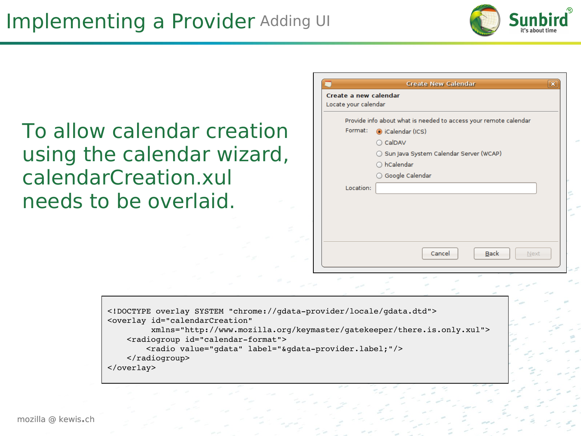

To allow calendar creation using the calendar wizard, calendarCreation.xul needs to be overlaid.

|           | Provide info about what is needed to access your remote calendar |
|-----------|------------------------------------------------------------------|
| Format:   | calendar (ICS)                                                   |
|           | ○ CalDAV                                                         |
|           | ◯ Sun Java System Calendar Server (WCAP)                         |
|           | ○ hCalendar                                                      |
|           | ◯ Google Calendar                                                |
| Location: |                                                                  |
|           |                                                                  |
|           |                                                                  |
|           |                                                                  |
|           |                                                                  |

```
<!DOCTYPE overlay SYSTEM "chrome://gdataprovider/locale/gdata.dtd">
<overlay id="calendarCreation"
                  xmlns="http://www.mozilla.org/keymaster/gatekeeper/there.is.only.xul">
    <radiogroup id="calendar-format">
        <radio value="gdata" label="&gdata-provider.label;"/>
        </radiogroup>
</overlay>
```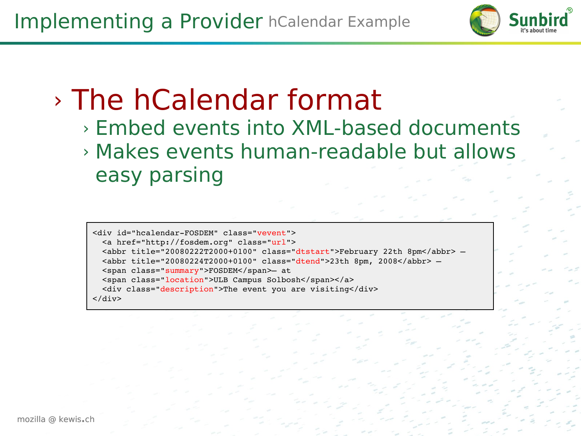

### › The hCalendar format

- › Embed events into XML-based documents
- › Makes events human-readable but allows easy parsing

<div id="hcalendar-FOSDEM" class="vevent"> <a href="http://fosdem.org" class="url"> <abbr title="20080222T2000+0100" class="dtstart">February 22th 8pm</abbr> – <abbr title="20080224T2000+0100" class="dtend">23th 8pm, 2008</abbr> – <span class="summary">FOSDEM</span>– at <span class="location">ULB Campus Solbosh</span></a> <div class="description">The event you are visiting</div> </div>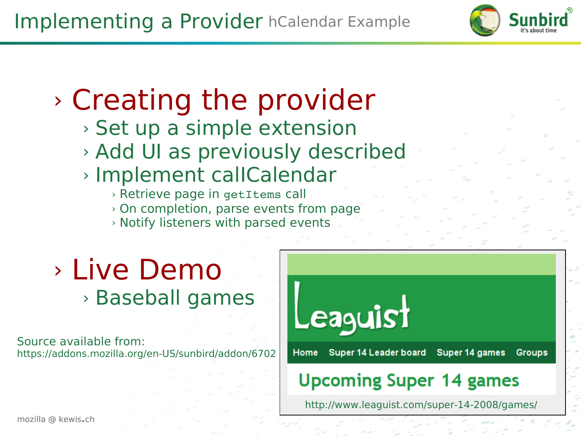

### › Creating the provider

- › Set up a simple extension
- › Add UI as previously described
- › Implement calICalendar
	- › Retrieve page in getItems call
	- › On completion, parse events from page
	- › Notify listeners with parsed events

#### › Live Demo › Baseball games

Source available from: <https://addons.mozilla.org/en-US/sunbird/addon/6702>